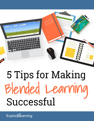

# 5 Tips for Making Blended Learning Successful

**Explorilearning**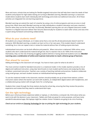More and more, schools that are looking for flexible targeted instruction that will help them meet the needs of their students and prepare for high-stakes testing are turning to Blended Learning. Blended Learning is a classroom model where students learn both individually with technology and onsite via traditional instruction. All of these activities are integrated into one learning experience.

Blended Learning can extend the reach of a teacher by using a mix of online programs and one-on-one or small group time. When done well, Blended Learning can help individualize a student's education and save a teacher's time for when they can be the most help. Occasionally, Blended Learning also can use a flipped classroom model. Teachers in a flipped classroom deliver their lectures electronically for students to watch after school, and class time is spent doing homework and working collaboratively.

# **What do your students need?**

All students are unique individuals, so it makes sense that a one-size-fits-all educational plan doesn't work for everyone. With Blended Learning, a student can learn at his or her own pace. If the student doesn't understand something, he or she can repeat a test or review the material without fear of holding anyone else back.

Individualized instruction can be both effective and powerful. When instruction is delivered 100% online, some students who don't understand the material will get lost. But if a teacher tries to do 100% of the instruction themselves, they run the risk of leaving struggling students behind or having advanced students tune out. **Blended Learning uses a combination of online and in-person instruction to reach a diverse group of learners.**

### **Plan ahead for success**

Adding technology to the classroom isn't enough. You have to have a plan for what to do with it!

The most common model for blended instruction is a rotational model. In this model, teachers provide a mix of digital and traditional instruction, using clear benchmarks to track student performance and analyzing the data to deliver customized instruction. Teachers use a variety of teaching methods and practices. Students collaborate using small groups, and each student receives an individualized learning experience.

To use the rotational model in the classroom, teachers should probably set up at least three stations: a direct instruction station where the teacher can work with students, an independent digital station with headphones, and a collaborative group station with enough chairs for a small group.

Students then rotate through the three stations during the school day, ensuring that they receive the practice, experience and review that they need to understand each topic.

# **Get the right technology**

Before your school purchases expensive tablets or laptops, or refurbishes a computer lab, think about what you want to do with the devices in your classroom. Tablets and iPads are great for some purposes, and have many wonderful educational apps. But laptops might be a better choice if students are going to do a lot of writing.

*Check out our article on [Choosing Technology](https://info.explorelearning.com/Choosing-the-Right-Technology-for-your-Classroom-Article-Gated.html) for tips on picking the right technology for your students.*